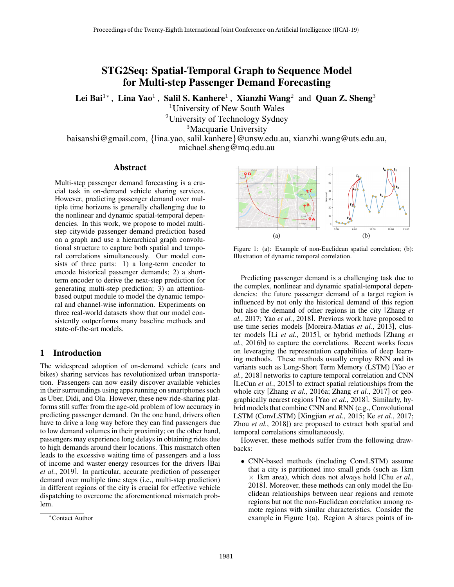# STG2Seq: Spatial-Temporal Graph to Sequence Model for Multi-step Passenger Demand Forecasting

Lei Bai $^{1*}$ , Lina Yao $^{1}$ , Salil S. Kanhere $^{1}$ , Xianzhi Wang $^{2}$  and Quan Z. Sheng $^{3}$ 

<sup>1</sup>University of New South Wales

<sup>2</sup>University of Technology Sydney

<sup>3</sup>Macquarie University

baisanshi@gmail.com, {lina.yao, salil.kanhere}@unsw.edu.au, xianzhi.wang@uts.edu.au, michael.sheng@mq.edu.au

### Abstract

Multi-step passenger demand forecasting is a crucial task in on-demand vehicle sharing services. However, predicting passenger demand over multiple time horizons is generally challenging due to the nonlinear and dynamic spatial-temporal dependencies. In this work, we propose to model multistep citywide passenger demand prediction based on a graph and use a hierarchical graph convolutional structure to capture both spatial and temporal correlations simultaneously. Our model consists of three parts: 1) a long-term encoder to encode historical passenger demands; 2) a shortterm encoder to derive the next-step prediction for generating multi-step prediction; 3) an attentionbased output module to model the dynamic temporal and channel-wise information. Experiments on three real-world datasets show that our model consistently outperforms many baseline methods and state-of-the-art models.

## 1 Introduction

The widespread adoption of on-demand vehicle (cars and bikes) sharing services has revolutionized urban transportation. Passengers can now easily discover available vehicles in their surroundings using apps running on smartphones such as Uber, Didi, and Ola. However, these new ride-sharing platforms still suffer from the age-old problem of low accuracy in predicting passenger demand. On the one hand, drivers often have to drive a long way before they can find passengers due to low demand volumes in their proximity; on the other hand, passengers may experience long delays in obtaining rides due to high demands around their locations. This mismatch often leads to the excessive waiting time of passengers and a loss of income and waster energy resources for the drivers [Bai *et al.*, 2019]. In particular, accurate prediction of passenger demand over multiple time steps (i.e., multi-step prediction) in different regions of the city is crucial for effective vehicle dispatching to overcome the aforementioned mismatch problem.



Figure 1: (a): Example of non-Euclidean spatial correlation; (b): Illustration of dynamic temporal correlation.

Predicting passenger demand is a challenging task due to the complex, nonlinear and dynamic spatial-temporal dependencies: the future passenger demand of a target region is influenced by not only the historical demand of this region but also the demand of other regions in the city [Zhang *et al.*, 2017; Yao *et al.*, 2018]. Previous work have proposed to use time series models [Moreira-Matias *et al.*, 2013], cluster models [Li *et al.*, 2015], or hybrid methods [Zhang *et al.*, 2016b] to capture the correlations. Recent works focus on leveraging the representation capabilities of deep learning methods. These methods usually employ RNN and its variants such as Long-Short Term Memory (LSTM) [Yao *et al.*, 2018] networks to capture temporal correlation and CNN [LeCun *et al.*, 2015] to extract spatial relationships from the whole city [Zhang *et al.*, 2016a; Zhang *et al.*, 2017] or geographically nearest regions [Yao *et al.*, 2018]. Similarly, hybrid models that combine CNN and RNN (e.g., Convolutional LSTM (ConvLSTM) [Xingjian *et al.*, 2015; Ke *et al.*, 2017; Zhou *et al.*, 2018]) are proposed to extract both spatial and temporal correlations simultaneously.

However, these methods suffer from the following drawbacks:

• CNN-based methods (including ConvLSTM) assume that a city is partitioned into small grids (such as 1km  $\times$  1km area), which does not always hold [Chu *et al.*, 2018]. Moreover, these methods can only model the Euclidean relationships between near regions and remote regions but not the non-Euclidean correlation among remote regions with similar characteristics. Consider the example in Figure 1(a). Region A shares points of in-

<sup>∗</sup>Contact Author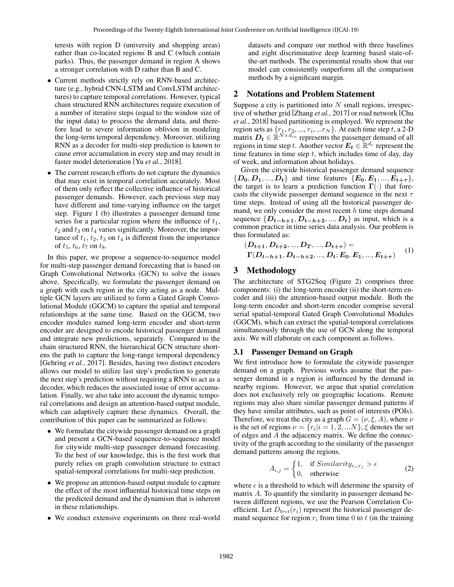terests with region D (university and shopping areas) rather than co-located regions B and C (which contain parks). Thus, the passenger demand in region A shows a stronger correlation with D rather than B and C.

- Current methods strictly rely on RNN-based architecture (e.g., hybrid CNN-LSTM and ConvLSTM architectures) to capture temporal correlations. However, typical chain structured RNN architectures require execution of a number of iterative steps (equal to the window size of the input data) to process the demand data, and therefore lead to severe information oblivion in modeling the long-term temporal dependency. Moreover, utilizing RNN as a decoder for multi-step prediction is known to cause error accumulation in every step and may result in faster model deterioration [Yu *et al.*, 2018].
- The current research efforts do not capture the dynamics that may exist in temporal correlation accurately. Most of them only reflect the collective influence of historical passenger demands. However, each previous step may have different and time-varying influence on the target step. Figure 1 (b) illustrates a passenger demand time series for a particular region where the influence of  $t_1$ ,  $t_2$  and  $t_3$  on  $t_4$  varies significantly. Moreover, the importance of  $t_1$ ,  $t_2$ ,  $t_3$  on  $t_4$  is different from the importance of  $t_5$ ,  $t_6$ ,  $t_7$  on  $t_8$ .

In this paper, we propose a sequence-to-sequence model for multi-step passenger demand forecasting that is based on Graph Convolutional Networks (GCN) to solve the issues above. Specifically, we formulate the passenger demand on a graph with each region in the city acting as a node. Multiple GCN layers are utilized to form a Gated Graph Convolutional Module (GGCM) to capture the spatial and temporal relationships at the same time. Based on the GGCM, two encoder modules named long-term encoder and short-term encoder are designed to encode historical passenger demand and integrate new predictions, separately. Compared to the chain structured RNN, the hierarchical GCN structure shortens the path to capture the long-range temporal dependency [Gehring *et al.*, 2017]. Besides, having two distinct encoders allows our model to utilize last step's prediction to generate the next step's prediction without requiring a RNN to act as a decoder, which reduces the associated issue of error accumulation. Finally, we also take into account the dynamic temporal correlations and design an attention-based output module, which can adaptively capture these dynamics. Overall, the contribution of this paper can be summarized as follows:

- We formulate the citywide passenger demand on a graph and present a GCN-based sequence-to-sequence model for citywide multi-step passenger demand forecasting. To the best of our knowledge, this is the first work that purely relies on graph convolution structure to extract spatial-temporal correlations for multi-step prediction.
- We propose an attention-based output module to capture the effect of the most influential historical time steps on the predicted demand and the dynamism that is inherent in these relationships.
- We conduct extensive experiments on three real-world

datasets and compare our method with three baselines and eight discriminative deep learning based state-ofthe-art methods. The experimental results show that our model can consistently outperform all the comparison methods by a significant margin.

## 2 Notations and Problem Statement

Suppose a city is partitioned into  $N$  small regions, irrespective of whether grid [Zhang *et al.*, 2017] or road network [Chu *et al.*, 2018] based partitioning is employed. We represent the region sets as  $\{r_1, r_2, ..., r_i, ...r_N\}$ . At each time step t, a 2-D matrix  $D_t \in \mathbb{R}^{\tilde{N} \times d_{in}}$  represents the passenger demand of all regions in time step t. Another vector  $E_t \in \mathbb{R}^{d_e}$  represent the time features in time step  $t$ , which includes time of day, day of week, and information about holidays.

Given the citywide historical passenger demand sequence  $\{D_0, D_1, ..., D_t\}$  and time features  $\{E_0, E_1, ..., E_{t+\tau}\}\,$ the target is to learn a prediction function  $\Gamma(\cdot)$  that forecasts the citywide passenger demand sequence in the next  $\tau$ time steps. Instead of using all the historical passenger demand, we only consider the most recent  $h$  time steps demand sequence  $\{D_{t-h+1}, D_{t-h+2}, ..., D_t\}$  as input, which is a common practice in time series data analysis. Our problem is thus formulated as:

$$
(D_{t+1}, D_{t+2}, ..., D_T, ..., D_{t+\tau}) =
$$
  
\n
$$
\Gamma(D_{t-h+1}, D_{t-h+2}, ..., D_t; E_0, E_1, ..., E_{t+\tau})
$$
 (1)

## 3 Methodology

The architecture of STG2Seq (Figure 2) comprises three components: (i) the long-term encoder (ii) the short-term encoder and (iii) the attention-based output module. Both the long-term encoder and short-term encoder comprise several serial spatial-temporal Gated Graph Convolutional Modules (GGCM), which can extract the spatial-temporal correlations simultaneously through the use of GCN along the temporal axis. We will elaborate on each component as follows.

### 3.1 Passenger Demand on Graph

We first introduce how to formulate the citywide passenger demand on a graph. Previous works assume that the passenger demand in a region is influenced by the demand in nearby regions. However, we argue that spatial correlation does not exclusively rely on geographic locations. Remote regions may also share similar passenger demand patterns if they have similar attributes, such as point of interests (POIs). Therefore, we treat the city as a graph  $G = (\nu, \xi, A)$ , where  $\nu$ is the set of regions  $\nu = \{r_i | i = 1, 2, ...N\}, \xi$  denotes the set of edges and A the adjacency matrix. We define the connectivity of the graph according to the similarity of the passenger demand patterns among the regions.

$$
A_{i,j} = \begin{cases} 1, & \text{if } Similarity_{r_i, r_j} > \epsilon \\ 0, & \text{otherwise} \end{cases} \tag{2}
$$

where  $\epsilon$  is a threshold to which will determine the sparsity of matrix A. To quantify the similarity in passenger demand between different regions, we use the Pearson Correlation Coefficient. Let  $D_{0 \sim t}(r_i)$  represent the historical passenger demand sequence for region  $r_i$  from time 0 to t (in the training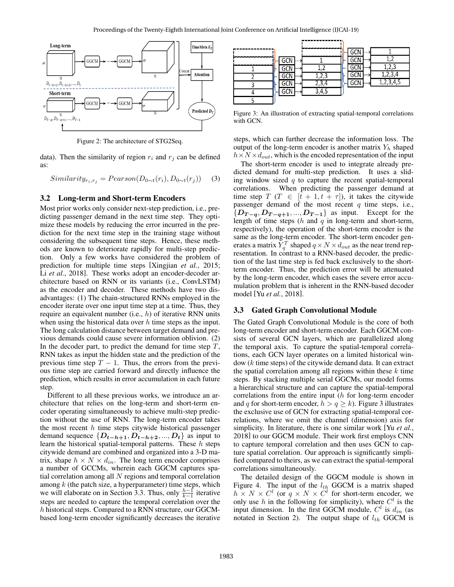

Figure 2: The architecture of STG2Seq.

data). Then the similarity of region  $r_i$  and  $r_j$  can be defined as:

$$
Similarity_{r_i, r_j} = Pearson(D_{0\sim t}(r_i), D_{0\sim t}(r_j))
$$
 (3)

### 3.2 Long-term and Short-term Encoders

Most prior works only consider next-step prediction, i.e., predicting passenger demand in the next time step. They optimize these models by reducing the error incurred in the prediction for the next time step in the training stage without considering the subsequent time steps. Hence, these methods are known to deteriorate rapidly for multi-step prediction. Only a few works have considered the problem of prediction for multiple time steps [Xingjian *et al.*, 2015; Li *et al.*, 2018]. These works adopt an encoder-decoder architecture based on RNN or its variants (i.e., ConvLSTM) as the encoder and decoder. These methods have two disadvantages: (1) The chain-structured RNNs employed in the encoder iterate over one input time step at a time. Thus, they require an equivalent number (i.e.,  $h$ ) of iterative RNN units when using the historical data over  $h$  time steps as the input. The long calculation distance between target demand and previous demands could cause severe information oblivion. (2) In the decoder part, to predict the demand for time step  $T$ , RNN takes as input the hidden state and the prediction of the previous time step  $T - 1$ . Thus, the errors from the previous time step are carried forward and directly influence the prediction, which results in error accumulation in each future step.

Different to all these previous works, we introduce an architecture that relies on the long-term and short-term encoder operating simultaneously to achieve multi-step prediction without the use of RNN. The long-term encoder takes the most recent  $h$  time steps citywide historical passenger demand sequence  $\{D_{t-h+1}, D_{t-h+2}, ..., D_t\}$  as input to learn the historical spatial-temporal patterns. These  $h$  steps citywide demand are combined and organized into a 3-D matrix, shape  $h \times N \times d_{in}$ . The long term encoder comprises a number of GCCMs, wherein each GGCM captures spatial correlation among all  $N$  regions and temporal correlation among  $k$  (the patch size, a hyperparameter) time steps, which we will elaborate on in Section 3.3. Thus, only  $\frac{h-1}{k-1}$  iterative steps are needed to capture the temporal correlation over the h historical steps. Compared to a RNN structure, our GGCMbased long-term encoder significantly decreases the iterative



Figure 3: An illustration of extracting spatial-temporal correlations with GCN.

steps, which can further decrease the information loss. The output of the long-term encoder is another matrix  $Y_h$  shaped  $h \times N \times d_{out}$ , which is the encoded representation of the input

The short-term encoder is used to integrate already predicted demand for multi-step prediction. It uses a sliding window sized  $q$  to capture the recent spatial-temporal correlations. When predicting the passenger demand at time step T (T  $\in$  [t + 1, t +  $\tau$ ]), it takes the citywide passenger demand of the most recent  $q$  time steps, i.e.,  ${D_{T-q}, D_{T-q+1}, ..., D_{T-1}}$  as input. Except for the length of time steps  $(h \text{ and } q \text{ in long-term and short-term})$ respectively), the operation of the short-term encoder is the same as the long-term encoder. The short-term encoder generates a matrix  $\hat{Y}_q^T$  shaped  $q \times N \times d_{out}$  as the near trend representation. In contrast to a RNN-based decoder, the prediction of the last time step is fed back exclusively to the shortterm encoder. Thus, the prediction error will be attenuated by the long-term encoder, which eases the severe error accumulation problem that is inherent in the RNN-based decoder model [Yu *et al.*, 2018].

#### 3.3 Gated Graph Convolutional Module

The Gated Graph Convolutional Module is the core of both long-term encoder and short-term encoder. Each GGCM consists of several GCN layers, which are parallelized along the temporal axis. To capture the spatial-temporal correlations, each GCN layer operates on a limited historical window (k time steps) of the citywide demand data. It can extract the spatial correlation among all regions within these  $k$  time steps. By stacking multiple serial GGCMs, our model forms a hierarchical structure and can capture the spatial-temporal correlations from the entire input (h for long-term encoder and q for short-term encoder,  $h > q \ge k$ ). Figure 3 illustrates the exclusive use of GCN for extracting spatial-temporal correlations, where we omit the channel (dimension) axis for simplicity. In literature, there is one similar work [Yu *et al.*, 2018] to our GGCM module. Their work first employs CNN to capture temporal correlation and then uses GCN to capture spatial correlation. Our approach is significantly simplified compared to theirs, as we can extract the spatial-temporal correlations simultaneously.

The detailed design of the GGCM module is shown in Figure 4. The input of the  $l_{th}$  GGCM is a matrix shaped  $h \times N \times C^l$  (or  $q \times N \times C^l$  for short-term encoder, we only use h in the following for simplicity), where  $C<sup>l</sup>$  is the input dimension. In the first GGCM module,  $C<sup>l</sup>$  is  $d_{in}$  (as notated in Section 2). The output shape of  $l_{th}$  GGCM is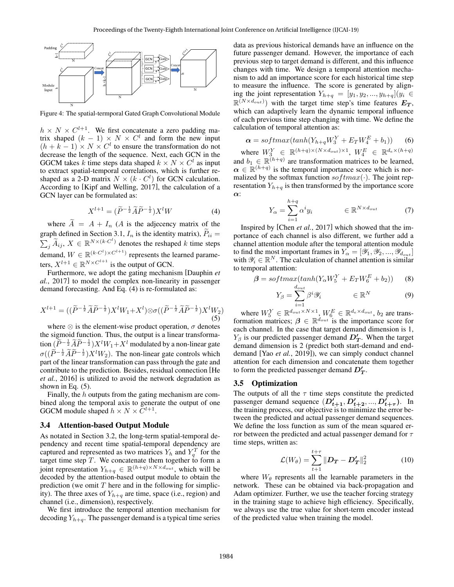

Figure 4: The spatial-termporal Gated Graph Convolutional Module

 $h \times N \times C^{l+1}$ . We first concatenate a zero padding matrix shaped  $(k - 1) \times N \times C^{l}$  and form the new input  $(h + k - 1) \times N \times C^{l}$  to ensure the transformation do not decrease the length of the sequence. Next, each GCN in the GGCM takes k time steps data shaped  $k \times N \times C^l$  as input to extract spatial-temporal correlations, which is further reshaped as a 2-D matrix  $N \times (k \cdot C^l)$  for GCN calculation. According to [Kipf and Welling, 2017], the calculation of a GCN layer can be formulated as:

$$
X^{l+1} = (\widetilde{P}^{-\frac{1}{2}} \widetilde{A} \widetilde{P}^{-\frac{1}{2}}) X^l W \tag{4}
$$

where  $\tilde{A} = A + I_n$  (*A* is the adjecency matrix of the graph defined in Section 3.1,  $I_n$  is the identity matrix),  $\tilde{P}_{ii} =$ graph defined in Section 3.1,  $I_n$  is the identity matrix),  $P_{ii} = \sum_j \widetilde{A}_{ij}$ ,  $X \in \mathbb{R}^{N \times (k \cdot C^l)}$  denotes the reshaped k time steps demand,  $W \in \mathbb{R}^{(k \cdot C^{l}) \times C^{l+1}}$  represents the learned parameters,  $X^{l+1} \in \mathbb{R}^{N \times C^{l+1}}$  is the output of GCN.

Furthermore, we adopt the gating mechanism [Dauphin *et al.*, 2017] to model the complex non-linearity in passenger demand forecasting. And Eq. (4) is re-formulated as:

$$
X^{l+1} = ((\widetilde{P}^{-\frac{1}{2}}\widetilde{A}\widetilde{P}^{-\frac{1}{2}})X^{l}W_1 + X^{l}) \otimes \sigma ((\widetilde{P}^{-\frac{1}{2}}\widetilde{A}\widetilde{P}^{-\frac{1}{2}})X^{l}W_2)
$$
\n(5)

where  $\otimes$  is the element-wise product operation,  $\sigma$  denotes the sigmoid function. Thus, the output is a linear transformation  $(\widetilde{P}^{-\frac{1}{2}}\widetilde{A}\widetilde{P}^{-\frac{1}{2}})X^{l}W_{1}+X^{l}$  modulated by a non-linear gate  $\sigma((\widetilde{P}^{-\frac{1}{2}}\widetilde{A}\widetilde{P}^{-\frac{1}{2}})X^{l}W_{2})$ . The non-linear gate controls which part of the linear transformation can pass through the gate and contribute to the prediction. Besides, residual connection [He *et al.*, 2016] is utilized to avoid the network degradation as shown in Eq.  $(5)$ .

Finally, the h outputs from the gating mechanism are combined along the temporal axis to generate the output of one GGCM module shaped  $h \times N \times C^{l+1}$ .

#### 3.4 Attention-based Output Module

As notated in Section 3.2, the long-term spatial-temporal dependency and recent time spatial-temporal dependency are captured and represented as two matrices  $Y_h$  and  $Y_q^T$  for the target time step  $T$ . We concatenate them together to form a joint representation  $Y_{h+q} \in \mathbb{R}^{(h+q)\times N\times d_{out}}$ , which will be decoded by the attention-based output module to obtain the prediction (we omit  $T$  here and in the following for simplicity). The three axes of  $Y_{h+q}$  are time, space (i.e., region) and channel (i.e., dimension), respectively.

We first introduce the temporal attention mechanism for decoding  $Y_{h+q}$ . The passenger demand is a typical time series data as previous historical demands have an influence on the future passenger demand. However, the importance of each previous step to target demand is different, and this influence changes with time. We design a temporal attention mechanism to add an importance score for each historical time step to measure the influence. The score is generated by aligning the joint representation  $Y_{h+q} = [y_1, y_2, ..., y_{h+q}](y_i \in$  $\mathbb{R}^{(N \times d_{out})}$  with the target time step's time features  $E_T$ , which can adaptively learn the dynamic temporal influence of each previous time step changing with time. We define the calculation of temporal attention as:

$$
\alpha = softmax(tanh(Y_{h+q}W_3^Y + E_T W_4^E + b_1))
$$
 (6)

where  $W_3^Y \in \mathbb{R}^{(h+q)\times (N\times d_{out})\times 1}$ ,  $W_4^E \in \mathbb{R}^{d_e \times (h+q)}$ and  $b_1 \in \mathbb{R}^{(h+q)}$  are transformation matrices to be learned,  $\alpha \in \mathbb{R}^{(h+q)}$  is the temporal importance score which is normalized by the softmax function so  $ftmax(\cdot)$ . The joint representation  $Y_{h+q}$  is then transformed by the importance score α:

$$
Y_{\alpha} = \sum_{i=1}^{h+q} \alpha^i y_i \qquad \in \mathbb{R}^{N \times d_{out}} \tag{7}
$$

Inspired by [Chen *et al.*, 2017] which showed that the importance of each channel is also different, we further add a channel attention module after the temporal attention module to find the most important frames in  $Y_{\alpha} = [\mathscr{Y}_1, \mathscr{Y}_2, ..., \mathscr{Y}_{d_{out}}]$ with  $\mathscr{Y}_i \in \mathbb{R}^N$ . The calculation of channel attention is similar to temporal attention:

$$
\beta = softmax(tanh(Y_{\alpha}W_5^Y + E_T W_6^E + b_2))
$$
 (8)

$$
Y_{\beta} = \sum_{i=1}^{d_{out}} \beta^i \mathscr{Y}_i \qquad \in \mathbb{R}^N \tag{9}
$$

where  $W_5^Y \in \mathbb{R}^{d_{out} \times N \times 1}$ ,  $W_6^E \in \mathbb{R}^{d_e \times d_{out}}$ ,  $b_2$  are transformation matrices;  $\beta \in \mathbb{R}^{d_{out}}$  is the importance score for each channel. In the case that target demand dimension is 1,  $Y_\beta$  is our predicted passenger demand  $D'_T$ . When the target demand dimension is 2 (predict both start-demand and enddemand [Yao *et al.*, 2019]), we can simply conduct channel attention for each dimension and concatenate them together to form the predicted passenger demand  $D_T^{\prime}$ .

### 3.5 Optimization

The outputs of all the  $\tau$  time steps constitute the predicted passenger demand sequence  $(D'_{t+1}, D'_{t+2}, ..., D'_{t+\tau})$ . In the training process, our objective is to minimize the error between the predicted and actual passenger demand sequences. We define the loss function as sum of the mean squared error between the predicted and actual passenger demand for  $\tau$ time steps, written as:

$$
\mathcal{L}(W_{\theta}) = \sum_{t+1}^{t+\tau} ||\boldsymbol{D}_{\boldsymbol{T}} - \boldsymbol{D}_{\boldsymbol{T}}^{\prime}||_2^2
$$
 (10)

where  $W_{\theta}$  represents all the learnable parameters in the network. These can be obtained via back-propagation and Adam optimizer. Further, we use the teacher forcing strategy in the training stage to achieve high efficiency. Specifically, we always use the true value for short-term encoder instead of the predicted value when training the model.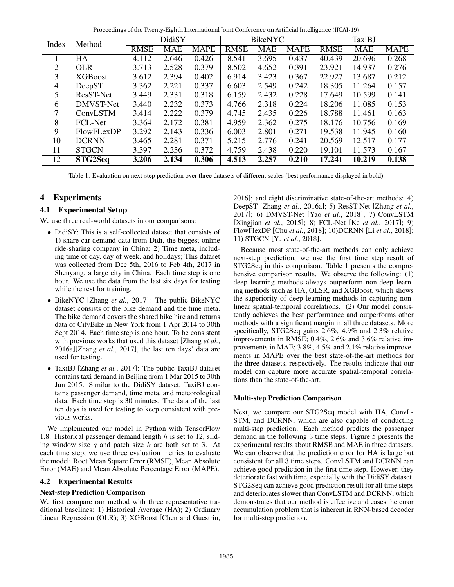Proceedings of the Twenty-Eighth International Joint Conference on Artificial Intelligence (IJCAI-19)

| Index | Method         | DidiSY      |       |             | <b>BikeNYC</b> |            |             | TaxiBJ      |            |             |
|-------|----------------|-------------|-------|-------------|----------------|------------|-------------|-------------|------------|-------------|
|       |                | <b>RMSE</b> | MAE   | <b>MAPE</b> | <b>RMSE</b>    | <b>MAE</b> | <b>MAPE</b> | <b>RMSE</b> | <b>MAE</b> | <b>MAPE</b> |
|       | HA             | 4.112       | 2.646 | 0.426       | 8.541          | 3.695      | 0.437       | 40.439      | 20.696     | 0.268       |
| 2     | <b>OLR</b>     | 3.713       | 2.528 | 0.379       | 8.502          | 4.652      | 0.391       | 23.921      | 14.937     | 0.276       |
| 3     | <b>XGBoost</b> | 3.612       | 2.394 | 0.402       | 6.914          | 3.423      | 0.367       | 22.927      | 13.687     | 0.212       |
| 4     | DeepST         | 3.362       | 2.221 | 0.337       | 6.603          | 2.549      | 0.242       | 18.305      | 11.264     | 0.157       |
| 5     | ResST-Net      | 3.449       | 2.331 | 0.318       | 6.159          | 2.432      | 0.228       | 17.649      | 10.599     | 0.141       |
| 6     | DMVST-Net      | 3.440       | 2.232 | 0.373       | 4.766          | 2.318      | 0.224       | 18.206      | 11.085     | 0.153       |
| 7     | ConvLSTM       | 3.414       | 2.222 | 0.379       | 4.745          | 2.435      | 0.226       | 18.788      | 11.461     | 0.163       |
| 8     | FCL-Net        | 3.364       | 2.172 | 0.381       | 4.959          | 2.362      | 0.275       | 18.176      | 10.756     | 0.169       |
| 9     | FlowFLexDP     | 3.292       | 2.143 | 0.336       | 6.003          | 2.801      | 0.271       | 19.538      | 11.945     | 0.160       |
| 10    | <b>DCRNN</b>   | 3.465       | 2.281 | 0.371       | 5.215          | 2.776      | 0.241       | 20.569      | 12.517     | 0.177       |
| 11    | <b>STGCN</b>   | 3.397       | 2.236 | 0.372       | 4.759          | 2.438      | 0.220       | 19.101      | 11.573     | 0.167       |
| 12    | STG2Seq        | 3.206       | 2.134 | 0.306       | 4.513          | 2.257      | 0.210       | 17.241      | 10.219     | 0.138       |

Table 1: Evaluation on next-step prediction over three datasets of different scales (best performance displayed in bold).

# 4 Experiments

## 4.1 Experimental Setup

We use three real-world datasets in our comparisons:

- DidiSY: This is a self-collected dataset that consists of 1) share car demand data from Didi, the biggest online ride-sharing company in China; 2) Time meta, including time of day, day of week, and holidays; This dataset was collected from Dec 5th, 2016 to Feb 4th, 2017 in Shenyang, a large city in China. Each time step is one hour. We use the data from the last six days for testing while the rest for training.
- BikeNYC [Zhang *et al.*, 2017]: The public BikeNYC dataset consists of the bike demand and the time meta. The bike demand covers the shared bike hire and returns data of CityBike in New York from 1 Apr 2014 to 30th Sept 2014. Each time step is one hour. To be consistent with previous works that used this dataset [Zhang *et al.*, 2016a][Zhang *et al.*, 2017], the last ten days' data are used for testing.
- TaxiBJ [Zhang *et al.*, 2017]: The public TaxiBJ dataset contains taxi demand in Beijing from 1 Mar 2015 to 30th Jun 2015. Similar to the DidiSY dataset, TaxiBJ contains passenger demand, time meta, and meteorological data. Each time step is 30 minutes. The data of the last ten days is used for testing to keep consistent with previous works.

We implemented our model in Python with TensorFlow 1.8. Historical passenger demand length  $h$  is set to 12, sliding window size  $q$  and patch size  $k$  are both set to 3. At each time step, we use three evaluation metrics to evaluate the model: Root Mean Square Error (RMSE), Mean Absolute Error (MAE) and Mean Absolute Percentage Error (MAPE).

## 4.2 Experimental Results

## Next-step Prediction Comparison

We first compare our method with three representative traditional baselines: 1) Historical Average (HA); 2) Ordinary Linear Regression (OLR); 3) XGBoost [Chen and Guestrin, 2016]; and eight discriminative state-of-the-art methods: 4) DeepST [Zhang *et al.*, 2016a]; 5) ResST-Net [Zhang *et al.*, 2017]; 6) DMVST-Net [Yao *et al.*, 2018]; 7) ConvLSTM [Xingjian *et al.*, 2015]; 8) FCL-Net [Ke *et al.*, 2017]; 9) FlowFlexDP [Chu *et al.*, 2018]; 10)DCRNN [Li *et al.*, 2018]; 11) STGCN [Yu *et al.*, 2018].

Because most state-of-the-art methods can only achieve next-step prediction, we use the first time step result of STG2Seq in this comparison. Table 1 presents the comprehensive comparison results. We observe the following: (1) deep learning methods always outperform non-deep learning methods such as HA, OLSR, and XGBoost, which shows the superiority of deep learning methods in capturing nonlinear spatial-temporal correlations. (2) Our model consistently achieves the best performance and outperforms other methods with a significant margin in all three datasets. More specifically, STG2Seq gains 2.6%, 4.9% and 2.3% relative improvements in RMSE; 0.4%, 2.6% and 3.6% relative improvements in MAE; 3.8%, 4.5% and 2.1% relative improvements in MAPE over the best state-of-the-art methods for the three datasets, respectively. The results indicate that our model can capture more accurate spatial-temporal correlations than the state-of-the-art.

## Multi-step Prediction Comparison

Next, we compare our STG2Seq model with HA, ConvL-STM, and DCRNN, which are also capable of conducting multi-step prediction. Each method predicts the passenger demand in the following 3 time steps. Figure 5 presents the experimental results about RMSE and MAE in three datasets. We can observe that the prediction error for HA is large but consistent for all 3 time steps. ConvLSTM and DCRNN can achieve good prediction in the first time step. However, they deteriorate fast with time, especially with the DidiSY dataset. STG2Seq can achieve good prediction result for all time steps and deteriorates slower than ConvLSTM and DCRNN, which demonstrates that our method is effective and eases the error accumulation problem that is inherent in RNN-based decoder for multi-step prediction.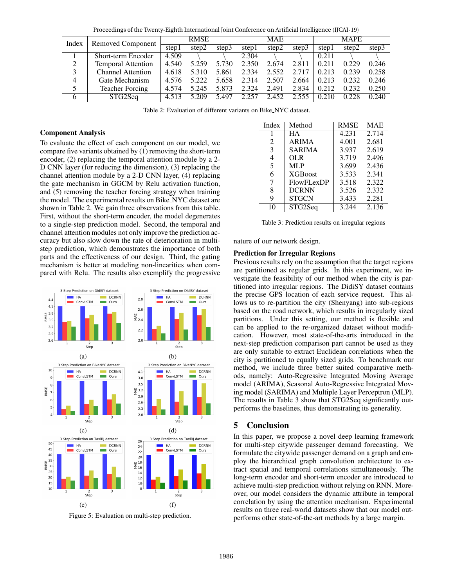| I rocceanizo of the fitcher explicit international joint comercities officialmental intensperies (i) can for |                           |             |       |       |            |       |       |             |       |       |
|--------------------------------------------------------------------------------------------------------------|---------------------------|-------------|-------|-------|------------|-------|-------|-------------|-------|-------|
| Index                                                                                                        | <b>Removed Component</b>  | <b>RMSE</b> |       |       | <b>MAE</b> |       |       | <b>MAPE</b> |       |       |
|                                                                                                              |                           | step1       | step2 | step3 | step1      | step2 | step3 | step1       | step2 | step3 |
|                                                                                                              | <b>Short-term Encoder</b> | 4.509       |       |       | 2.304      |       |       | 0.211       |       |       |
| 2                                                                                                            | <b>Temporal Attention</b> | 4.540       | 5.259 | 5.730 | 2.350      | 2.674 | 2.811 | 0.211       | 0.229 | 0.246 |
| 3                                                                                                            | <b>Channel Attention</b>  | 4.618       | 5.310 | 5.861 | 2.334      | 2.552 | 2.717 | 0.213       | 0.239 | 0.258 |
| $\overline{4}$                                                                                               | Gate Mechanism            | 4.576       | 5.222 | 5.658 | 2.314      | 2.507 | 2.664 | 0.213       | 0.232 | 0.246 |
| 5                                                                                                            | <b>Teacher Forcing</b>    | 4.574       | 5.245 | 5.873 | 2.324      | 2.491 | 2.834 | 0.212       | 0.232 | 0.250 |
| 6                                                                                                            | STG2Seq                   | 4.513       | 5.209 | 5.497 | 2.257      | 2.452 | 2.555 | 0.210       | 0.228 | 0.240 |

Proceedings of the Twenty-Eighth International Joint Conference on Artificial Intelligence (IJCAI-19)

Table 2: Evaluation of different variants on Bike NYC dataset.

### Component Analysis

To evaluate the effect of each component on our model, we compare five variants obtained by (1) removing the short-term encoder, (2) replacing the temporal attention module by a 2- D CNN layer (for reducing the dimension), (3) replacing the channel attention module by a 2-D CNN layer, (4) replacing the gate mechanism in GGCM by Relu activation function, and (5) removing the teacher forcing strategy when training the model. The experimental results on Bike NYC dataset are shown in Table 2. We gain three observations from this table. First, without the short-term encoder, the model degenerates to a single-step prediction model. Second, the temporal and channel attention modules not only improve the prediction accuracy but also slow down the rate of deterioration in multistep prediction, which demonstrates the importance of both parts and the effectiveness of our design. Third, the gating mechanism is better at modeling non-linearities when compared with Relu. The results also exemplify the progressive



Figure 5: Evaluation on multi-step prediction.

| Index | Method          | <b>RMSE</b> | <b>MAE</b> |
|-------|-----------------|-------------|------------|
|       | HА              | 4.231       | 2.714      |
| 2     | <b>ARIMA</b>    | 4.001       | 2.681      |
| 3     | SARIMA          | 3.937       | 2.619      |
| 4     | OLR             | 3.719       | 2.496      |
| 5     | <b>MLP</b>      | 3.699       | 2.436      |
| 6     | <b>XGB</b> oost | 3.533       | 2.341      |
| 7     | FlowFLexDP      | 3.518       | 2.322      |
| 8     | <b>DCRNN</b>    | 3.526       | 2.332      |
| 9     | <b>STGCN</b>    | 3.433       | 2.281      |
| 10    | STG2Seq         | 3.244       | 2.136      |

Table 3: Prediction results on irregular regions

#### nature of our network design.

### Prediction for Irregular Regions

Previous results rely on the assumption that the target regions are partitioned as regular grids. In this experiment, we investigate the feasibility of our method when the city is partitioned into irregular regions. The DidiSY dataset contains the precise GPS location of each service request. This allows us to re-partition the city (Shenyang) into sub-regions based on the road network, which results in irregularly sized partitions. Under this setting, our method is flexible and can be applied to the re-organized dataset without modification. However, most state-of-the-arts introduced in the next-step prediction comparison part cannot be used as they are only suitable to extract Euclidean correlations when the city is partitioned to equally sized grids. To benchmark our method, we include three better suited comparative methods, namely: Auto-Regressive Integrated Moving Average model (ARIMA), Seasonal Auto-Regressive Integrated Moving model (SARIMA) and Multiple Layer Perceptron (MLP). The results in Table 3 show that STG2Seq significantly outperforms the baselines, thus demonstrating its generality.

### 5 Conclusion

In this paper, we propose a novel deep learning framework for multi-step citywide passenger demand forecasting. We formulate the citywide passenger demand on a graph and employ the hierarchical graph convolution architecture to extract spatial and temporal correlations simultaneously. The long-term encoder and short-term encoder are introduced to achieve multi-step prediction without relying on RNN. Moreover, our model considers the dynamic attribute in temporal correlation by using the attention mechanism. Experimental results on three real-world datasets show that our model outperforms other state-of-the-art methods by a large margin.